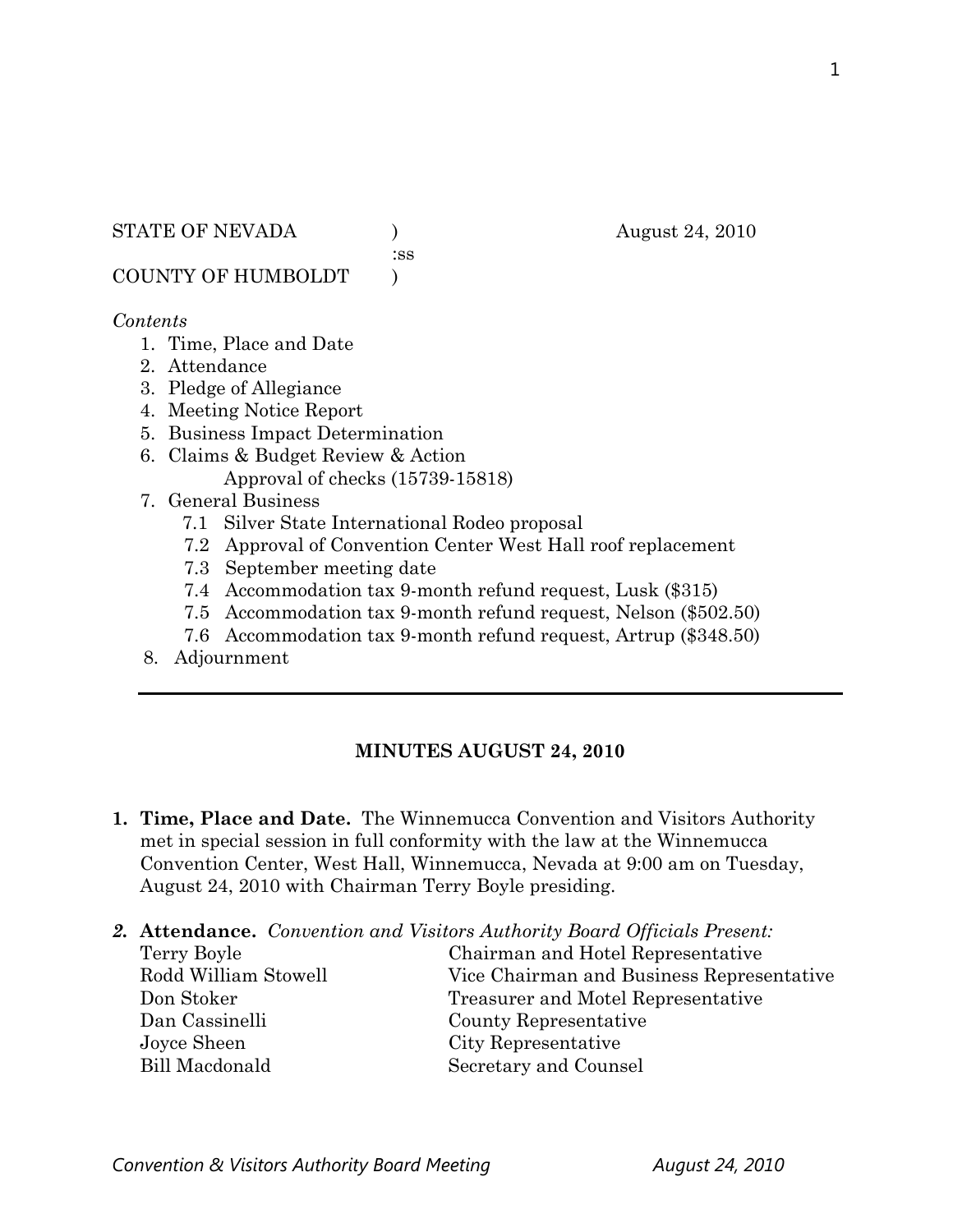:ss

COUNTY OF HUMBOLDT )

### *Contents*

- 1. Time, Place and Date
- 2. Attendance
- 3. Pledge of Allegiance
- 4. Meeting Notice Report
- 5. Business Impact Determination
- 6. Claims & Budget Review & Action Approval of checks (15739-15818)
- 7. General Business
	- 7.1 Silver State International Rodeo proposal
	- 7.2 Approval of Convention Center West Hall roof replacement
	- 7.3 September meeting date
	- 7.4 Accommodation tax 9-month refund request, Lusk (\$315)
	- 7.5 Accommodation tax 9-month refund request, Nelson (\$502.50)
	- 7.6 Accommodation tax 9-month refund request, Artrup (\$348.50)
- 8. Adjournment

# **MINUTES AUGUST 24, 2010**

- **1. Time, Place and Date.** The Winnemucca Convention and Visitors Authority met in special session in full conformity with the law at the Winnemucca Convention Center, West Hall, Winnemucca, Nevada at 9:00 am on Tuesday, August 24, 2010 with Chairman Terry Boyle presiding.
- *2.* **Attendance.** *Convention and Visitors Authority Board Officials Present:*

| Terry Boyle           | Chairman and Hotel Representative         |
|-----------------------|-------------------------------------------|
| Rodd William Stowell  | Vice Chairman and Business Representative |
| Don Stoker            | Treasurer and Motel Representative        |
| Dan Cassinelli        | County Representative                     |
| Joyce Sheen           | City Representative                       |
| <b>Bill Macdonald</b> | Secretary and Counsel                     |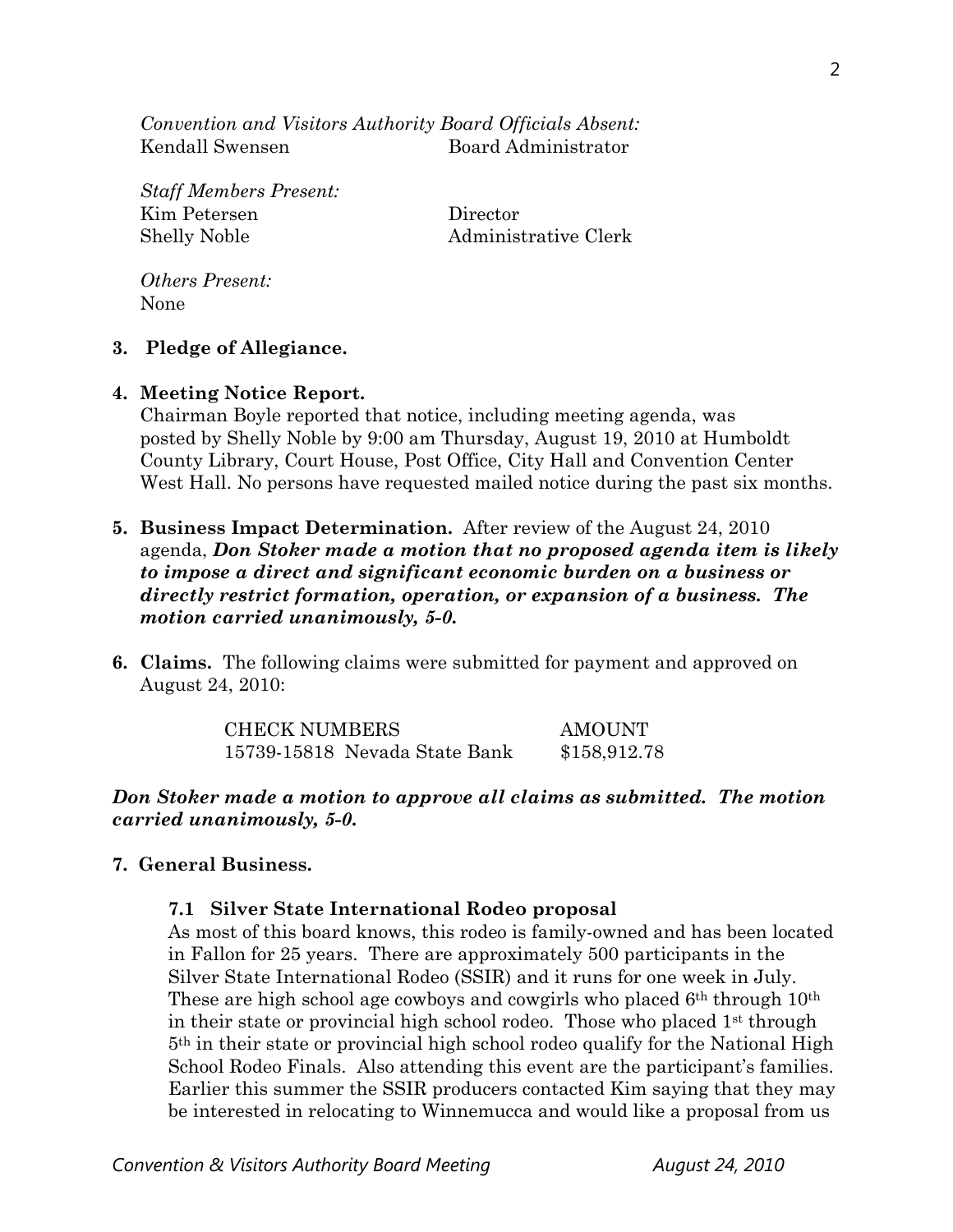*Convention and Visitors Authority Board Officials Absent:*  Kendall Swensen Board Administrator

*Staff Members Present:*  Kim Petersen Director Shelly Noble Administrative Clerk

*Others Present:*  None

#### **3. Pledge of Allegiance.**

#### **4. Meeting Notice Report.**

Chairman Boyle reported that notice, including meeting agenda, was posted by Shelly Noble by 9:00 am Thursday, August 19, 2010 at Humboldt County Library, Court House, Post Office, City Hall and Convention Center West Hall. No persons have requested mailed notice during the past six months.

- **5. Business Impact Determination.** After review of the August 24, 2010 agenda, *Don Stoker made a motion that no proposed agenda item is likely to impose a direct and significant economic burden on a business or directly restrict formation, operation, or expansion of a business. The motion carried unanimously, 5-0.*
- **6. Claims.** The following claims were submitted for payment and approved on August 24, 2010:

| <b>CHECK NUMBERS</b>          | AMOUNT       |
|-------------------------------|--------------|
| 15739-15818 Nevada State Bank | \$158,912.78 |

### *Don Stoker made a motion to approve all claims as submitted. The motion carried unanimously, 5-0.*

### **7. General Business.**

### **7.1 Silver State International Rodeo proposal**

As most of this board knows, this rodeo is family-owned and has been located in Fallon for 25 years. There are approximately 500 participants in the Silver State International Rodeo (SSIR) and it runs for one week in July. These are high school age cowboys and cowgirls who placed 6<sup>th</sup> through 10<sup>th</sup> in their state or provincial high school rodeo. Those who placed  $1<sup>st</sup>$  through 5th in their state or provincial high school rodeo qualify for the National High School Rodeo Finals. Also attending this event are the participant's families. Earlier this summer the SSIR producers contacted Kim saying that they may be interested in relocating to Winnemucca and would like a proposal from us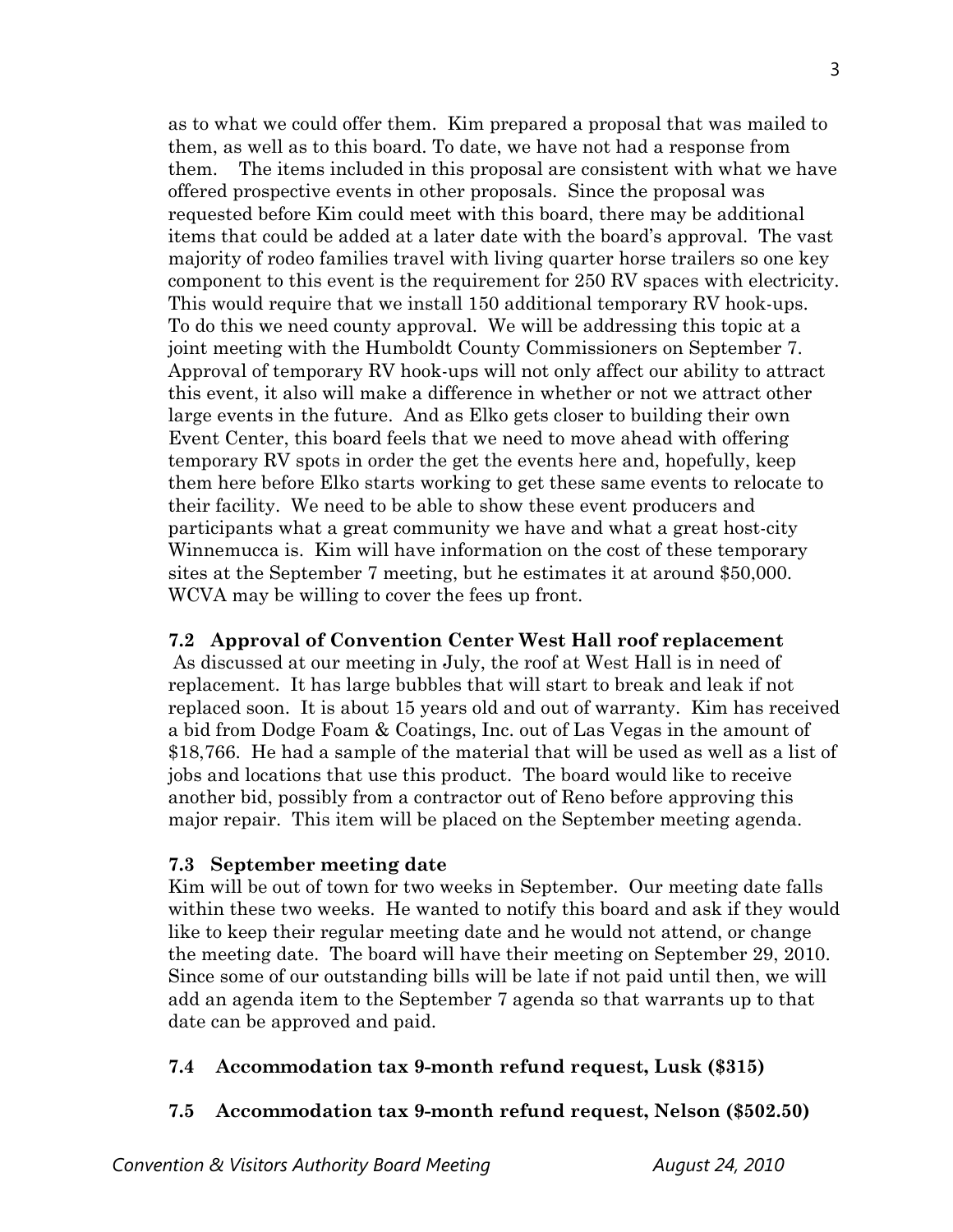as to what we could offer them. Kim prepared a proposal that was mailed to them, as well as to this board. To date, we have not had a response from them. The items included in this proposal are consistent with what we have offered prospective events in other proposals. Since the proposal was requested before Kim could meet with this board, there may be additional items that could be added at a later date with the board's approval. The vast majority of rodeo families travel with living quarter horse trailers so one key component to this event is the requirement for 250 RV spaces with electricity. This would require that we install 150 additional temporary RV hook-ups. To do this we need county approval. We will be addressing this topic at a joint meeting with the Humboldt County Commissioners on September 7. Approval of temporary RV hook-ups will not only affect our ability to attract this event, it also will make a difference in whether or not we attract other large events in the future. And as Elko gets closer to building their own Event Center, this board feels that we need to move ahead with offering temporary RV spots in order the get the events here and, hopefully, keep them here before Elko starts working to get these same events to relocate to their facility. We need to be able to show these event producers and participants what a great community we have and what a great host-city Winnemucca is. Kim will have information on the cost of these temporary sites at the September 7 meeting, but he estimates it at around \$50,000. WCVA may be willing to cover the fees up front.

## **7.2 Approval of Convention Center West Hall roof replacement**

 As discussed at our meeting in July, the roof at West Hall is in need of replacement. It has large bubbles that will start to break and leak if not replaced soon. It is about 15 years old and out of warranty. Kim has received a bid from Dodge Foam & Coatings, Inc. out of Las Vegas in the amount of \$18,766. He had a sample of the material that will be used as well as a list of jobs and locations that use this product. The board would like to receive another bid, possibly from a contractor out of Reno before approving this major repair. This item will be placed on the September meeting agenda.

# **7.3 September meeting date**

Kim will be out of town for two weeks in September. Our meeting date falls within these two weeks. He wanted to notify this board and ask if they would like to keep their regular meeting date and he would not attend, or change the meeting date. The board will have their meeting on September 29, 2010. Since some of our outstanding bills will be late if not paid until then, we will add an agenda item to the September 7 agenda so that warrants up to that date can be approved and paid.

# **7.4 Accommodation tax 9-month refund request, Lusk (\$315)**

# **7.5 Accommodation tax 9-month refund request, Nelson (\$502.50)**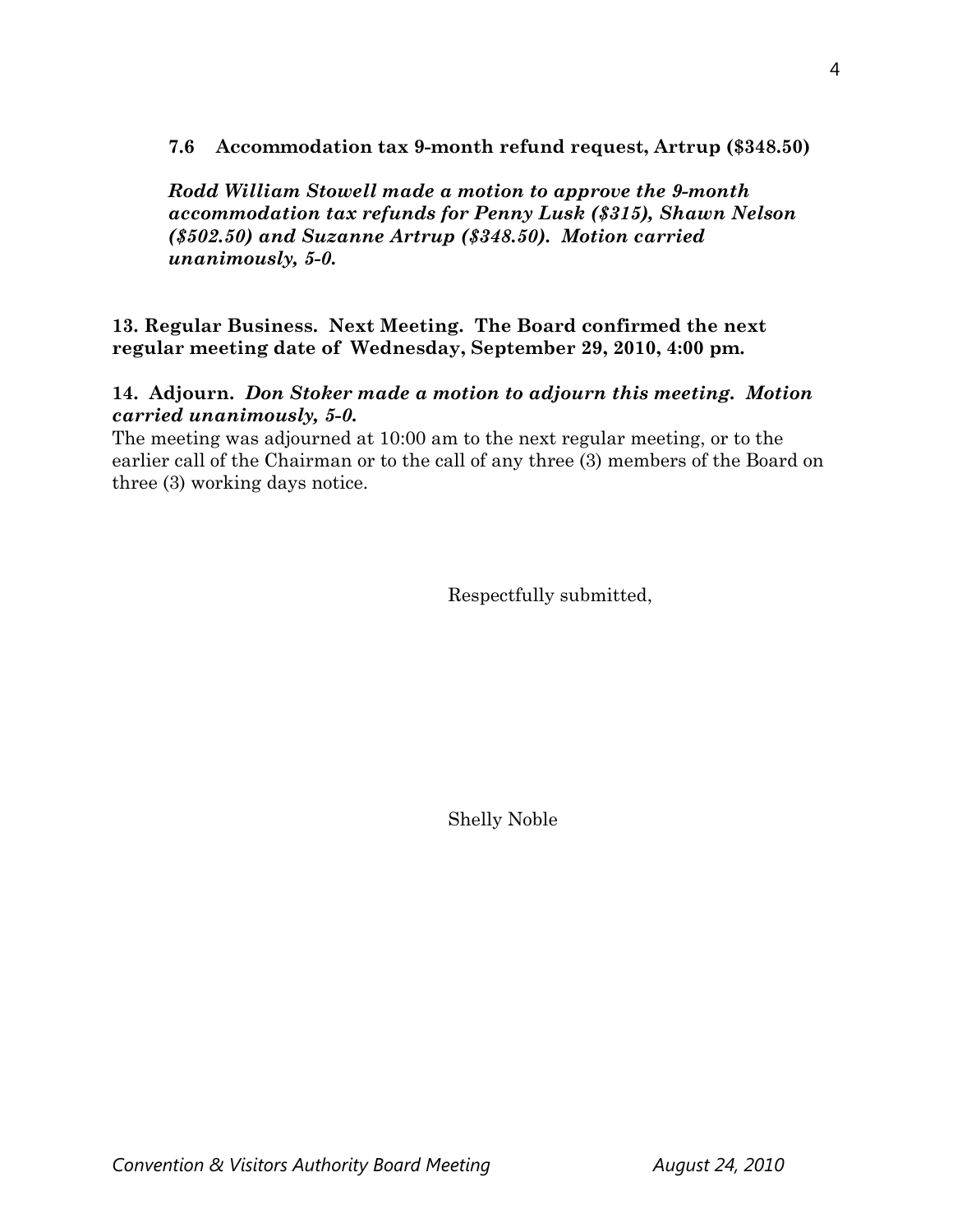## **7.6 Accommodation tax 9-month refund request, Artrup (\$348.50)**

*Rodd William Stowell made a motion to approve the 9-month accommodation tax refunds for Penny Lusk (\$315), Shawn Nelson (\$502.50) and Suzanne Artrup (\$348.50). Motion carried unanimously, 5-0.* 

### **13. Regular Business. Next Meeting. The Board confirmed the next regular meeting date of Wednesday, September 29, 2010, 4:00 pm.**

### **14. Adjourn.** *Don Stoker made a motion to adjourn this meeting. Motion carried unanimously, 5-0.*

The meeting was adjourned at 10:00 am to the next regular meeting, or to the earlier call of the Chairman or to the call of any three (3) members of the Board on three (3) working days notice.

Respectfully submitted,

Shelly Noble